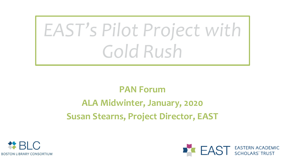# *EAST's Pilot Project with Gold Rush*

### **PAN Forum**

## **ALA Midwinter, January, 2020 Susan Stearns, Project Director, EAST**



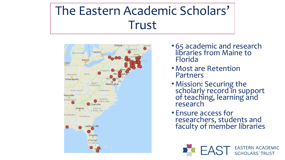## The Eastern Academic Scholars' Trust



- 65 academic and research libraries from Maine to Florida
- •Most are Retention Partners
- •Mission: Securing the scholarly record in support of teaching, learning and research
- Ensure access for researchers, students and faculty of member libraries

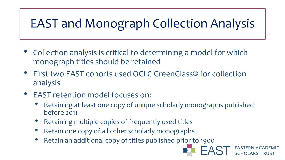## EAST and Monograph Collection Analysis

- Collection analysis is critical to determining a model for which monograph titles should be retained
- First two EAST cohorts used OCLC GreenGlass® for collection analysis
- EAST retention model focuses on:
	- Retaining at least one copy of unique scholarly monographs published before 2011
	- Retaining multiple copies of frequently used titles
	- Retain one copy of all other scholarly monographs
	- Retain an additional copy of titles published prior to 1900

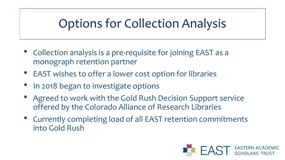## Options for Collection Analysis

- Collection analysis is a pre-requisite for joining EAST as a monograph retention partner
- EAST wishes to offer a lower cost option for libraries
- In 2018 began to investigate options
- Agreed to work with the Gold Rush Decision Support service offered by the Colorado Alliance of Research Libraries
- Currently completing load of all EAST retention commitments into Gold Rush

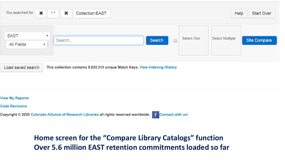| You searched for:<br>×           | $*.*$                          | ×<br>Collection:EAST                                                        |                  |            | Help            | Start Over   |
|----------------------------------|--------------------------------|-----------------------------------------------------------------------------|------------------|------------|-----------------|--------------|
| <b>EAST</b><br><b>All Fields</b> | ▼<br>$\boldsymbol{\mathrm{v}}$ | Search                                                                      | Search<br>$\Box$ | Select One | Select Multiple | Site Compare |
| Load saved search                |                                | This collection contains 5,633,313 unique Match Keys. View Indexing History |                  |            |                 |              |

#### **View My Reports**

**Code Revisions** 

Copyright © 2020 Colorado Alliance of Research Libraries all rights reserved worldwide. f Connect with us!

### **Home screen for the "Compare Library Catalogs" function Over 5.6 million EAST retention commitments loaded so far**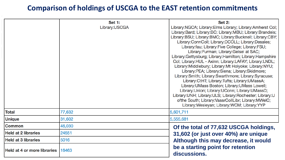#### **Comparison of holdings of USCGA to the EAST retention commitments**

|                                                             | <b>Set 1:</b><br>Library: USCGA | <b>Set 2:</b><br>Library:NGCA; Library:Elms Library; Library:Amherst Col;<br>Library:Bard; Library:BC; Library:MBU; Library:Brandeis;<br>Library: BSU; Library: BMC; Library: Bucknell; Library: CBY;<br>Library:ConnColl; Library:DCOLL; Library:Desales;<br>Library:fau; Library:Five College; Library:FSU;<br>Library: Furman; Library: Geisel at SAC;<br>Library:Gettysburg; Library:Hamilton; Library:Hampshire<br>Col; Library:HUL - Axinn; Library:LAFAY; Library:LNDL;<br>Library: Middlebury; Library: Mt Holyoke; Library: NYU;<br>Library:PEA; Library:Siena; Library:Skidmore;<br>Library:Smith; Library:Swarthmore; Library:Syracuse;<br>Library: CtHT; Library: Tufts; Library: UMassA;<br>Library: UMass Boston; Library: UMass Lowell;<br>Library: Union; Library: UConn; Library: UMassD;<br>Library: UNH; Library: ULS; Library: Rochester; Library: U<br>ofthe South; Library: VassrCollLibr; Library: MWelC;<br>Library: Wesleyan; Library: WCM; Library: YYP |  |  |  |
|-------------------------------------------------------------|---------------------------------|-----------------------------------------------------------------------------------------------------------------------------------------------------------------------------------------------------------------------------------------------------------------------------------------------------------------------------------------------------------------------------------------------------------------------------------------------------------------------------------------------------------------------------------------------------------------------------------------------------------------------------------------------------------------------------------------------------------------------------------------------------------------------------------------------------------------------------------------------------------------------------------------------------------------------------------------------------------------------------------|--|--|--|
| <b>Total</b>                                                | 77,632                          | 5,601,711                                                                                                                                                                                                                                                                                                                                                                                                                                                                                                                                                                                                                                                                                                                                                                                                                                                                                                                                                                         |  |  |  |
| <b>Unique</b>                                               | 31,602                          | 5,555,681                                                                                                                                                                                                                                                                                                                                                                                                                                                                                                                                                                                                                                                                                                                                                                                                                                                                                                                                                                         |  |  |  |
| <b>Common</b>                                               | 46,030                          | Of the total of 77,632 USCGA holdings,<br>31,602 (or just over 40%) are unique                                                                                                                                                                                                                                                                                                                                                                                                                                                                                                                                                                                                                                                                                                                                                                                                                                                                                                    |  |  |  |
| <b>Held at 2 libraries</b>                                  | 24551                           |                                                                                                                                                                                                                                                                                                                                                                                                                                                                                                                                                                                                                                                                                                                                                                                                                                                                                                                                                                                   |  |  |  |
| <b>Held at 3 libraries</b>                                  | 5016                            | Although this may decrease, it would                                                                                                                                                                                                                                                                                                                                                                                                                                                                                                                                                                                                                                                                                                                                                                                                                                                                                                                                              |  |  |  |
| <b>Held at 4 or more libraries</b><br>16463<br>discussions. |                                 | be a starting point for retention                                                                                                                                                                                                                                                                                                                                                                                                                                                                                                                                                                                                                                                                                                                                                                                                                                                                                                                                                 |  |  |  |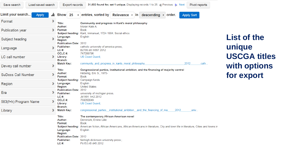| Load saved search<br>Save search                                                 | <b>Export records</b>                                                                                                                 | 31,602 found for, set 1 unique. Displaying records 1 to 25 Previous Next<br>Pivot reports                                                                                                                                                                                                |                               |  |  |  |
|----------------------------------------------------------------------------------|---------------------------------------------------------------------------------------------------------------------------------------|------------------------------------------------------------------------------------------------------------------------------------------------------------------------------------------------------------------------------------------------------------------------------------------|-------------------------------|--|--|--|
| Limit your search<br><b>Apply</b>                                                | 山 Show 25                                                                                                                             | $\mathbf{v}$ entries, sorted by Relevance $\mathbf{v}$ in descending $\mathbf{v}$ order.<br><b>Apply Sort</b>                                                                                                                                                                            |                               |  |  |  |
| Format                                                                           | Title:<br>Author:                                                                                                                     | Community and progress in Kant's moral philosophy<br>Moran Kate A.                                                                                                                                                                                                                       |                               |  |  |  |
| <b>Publication year</b>                                                          | Format:<br><b>Subject heading:</b>                                                                                                    | <b>Book</b><br>Kant, Immanuel, 1724-1804, Social ethics                                                                                                                                                                                                                                  | <b>List of the</b>            |  |  |  |
| Subject heading                                                                  | Language:<br>Region:<br><b>Publication Date: 2012</b>                                                                                 | English                                                                                                                                                                                                                                                                                  |                               |  |  |  |
| Publisher:<br>Language<br>LC#<br>OCLC#:<br>LC call number<br>Library:<br>Branch: |                                                                                                                                       | catholic university of america press,<br>B2799.e8 m567 2012                                                                                                                                                                                                                              | unique<br><b>USCGA titles</b> |  |  |  |
|                                                                                  |                                                                                                                                       | 747099796<br>US Coast Guard;                                                                                                                                                                                                                                                             |                               |  |  |  |
| Match Key:<br>Dewey call number                                                  |                                                                                                                                       | 2012<br>community and progress in kants moral philosophy<br>cath<br>Congressional parties, institutional ambition, and the financing of majority control                                                                                                                                 | with options                  |  |  |  |
| Title:<br>Author:<br><b>SuDocs Call Number</b><br>Format:                        |                                                                                                                                       | Heberlig, Eric S., 1970-<br><b>Book</b>                                                                                                                                                                                                                                                  | for export                    |  |  |  |
| Region                                                                           | <b>Subject heading:</b><br>Language:<br>Region:                                                                                       | Campaign funds<br>English<br><b>United States</b>                                                                                                                                                                                                                                        |                               |  |  |  |
| <b>Publication Date: 2012</b><br>Era<br>Publisher:                               |                                                                                                                                       | university of michigan press,<br>Jk1991 .h42 2012                                                                                                                                                                                                                                        |                               |  |  |  |
| 583(f+h) Program Name                                                            | LC#<br>OCLC#:<br>Library:                                                                                                             | 759050049<br>US Coast Guard:                                                                                                                                                                                                                                                             |                               |  |  |  |
| Library                                                                          | Branch:<br><b>Match Key:</b>                                                                                                          | congressional parties institutional ambition and the financing of ma<br>2012<br>univ                                                                                                                                                                                                     |                               |  |  |  |
|                                                                                  | Title:<br>Author:<br>Format:<br><b>Subject heading:</b><br>Language:<br>Region:<br><b>Publication Date: 2012</b><br>Publisher:<br>LC# | The contemporary African-American novel<br>Demirtürk, Emine Lâle<br><b>Book</b><br>American fiction, African Americans, African Americans in literature, City and town life in literature, Cities and towns in<br>English<br>fairleigh dickinson university press ;<br>Ps153.n5 d45 2012 |                               |  |  |  |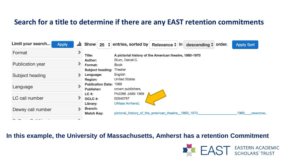#### **Search for a title to determine if there are any EAST retention commitments**

| Limit your search<br><b>Apply</b> |                                     |                               | <b>If Show</b> 25 $\div$ entries, sorted by Relevance $\div$ in descending $\div$ order. |  | <b>Apply Sort</b> |
|-----------------------------------|-------------------------------------|-------------------------------|------------------------------------------------------------------------------------------|--|-------------------|
| Format                            | <b>Title:</b>                       |                               | A pictorial history of the American theatre, 1860-1970                                   |  |                   |
| <b>Publication year</b>           | <b>Author:</b><br><b>Format:</b>    | <b>Subject heading:</b>       | Blum, Daniel C.<br><b>Book</b><br>Theater                                                |  |                   |
| Subject heading                   | Language:<br><b>Region:</b>         |                               | English<br><b>United States</b>                                                          |  |                   |
| Language                          | <b>Publisher:</b>                   | <b>Publication Date: 1969</b> | crown publishers,                                                                        |  |                   |
| LC call number                    | LC #:<br>OCLC #:<br>Library:        |                               | Pn2266 .b585 1969<br>00046797<br><b>UMass Amherst:</b>                                   |  |                   |
| Dewey call number                 | <b>Branch:</b><br><b>Match Key:</b> |                               | pictorial_history_of_the_american_theatre_1860_1970_                                     |  | 1969<br>newcrow.  |
|                                   |                                     |                               |                                                                                          |  |                   |

#### **In this example, the University of Massachusetts, Amherst has a retention Commitment**